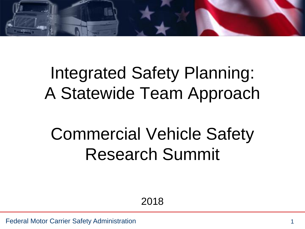

# Integrated Safety Planning: A Statewide Team Approach

# Commercial Vehicle Safety Research Summit

2018

Federal Motor Carrier Safety Administration 1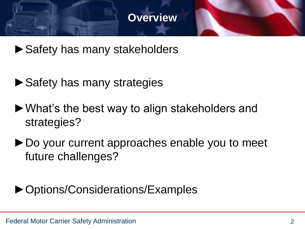#### **Overview**

- ▶ Safety has many stakeholders
- ► Safety has many strategies
- ►What's the best way to align stakeholders and strategies?
- ►Do your current approaches enable you to meet future challenges?

# ►Options/Considerations/Examples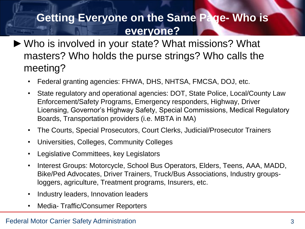# **Getting Everyone on the Same Page- Who is everyone?**

- ►Who is involved in your state? What missions? What masters? Who holds the purse strings? Who calls the meeting?
	- Federal granting agencies: FHWA, DHS, NHTSA, FMCSA, DOJ, etc.
	- State regulatory and operational agencies: DOT, State Police, Local/County Law Enforcement/Safety Programs, Emergency responders, Highway, Driver Licensing, Governor's Highway Safety, Special Commissions, Medical Regulatory Boards, Transportation providers (i.e. MBTA in MA)
	- The Courts, Special Prosecutors, Court Clerks, Judicial/Prosecutor Trainers
	- Universities, Colleges, Community Colleges
	- Legislative Committees, key Legislators
	- Interest Groups: Motorcycle, School Bus Operators, Elders, Teens, AAA, MADD, Bike/Ped Advocates, Driver Trainers, Truck/Bus Associations, Industry groupsloggers, agriculture, Treatment programs, Insurers, etc.
	- Industry leaders, Innovation leaders
	- Media- Traffic/Consumer Reporters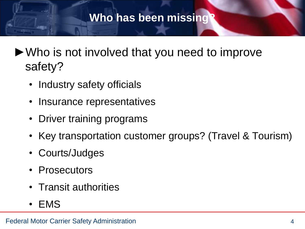## **Who has been missing?**

- ►Who is not involved that you need to improve safety?
	- Industry safety officials
	- Insurance representatives
	- Driver training programs
	- Key transportation customer groups? (Travel & Tourism)
	- Courts/Judges
	- Prosecutors
	- Transit authorities
	- EMS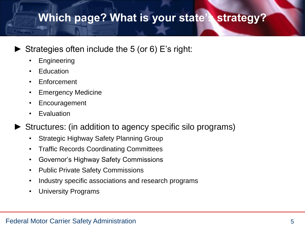# **Which page? What is your state's strategy?**

#### Strategies often include the 5 (or 6) E's right:

- **Engineering**
- **Education**
- Enforcement
- Emergency Medicine
- Encouragement
- **Evaluation**
- Structures: (in addition to agency specific silo programs)
	- Strategic Highway Safety Planning Group
	- Traffic Records Coordinating Committees
	- Governor's Highway Safety Commissions
	- Public Private Safety Commissions
	- Industry specific associations and research programs
	- University Programs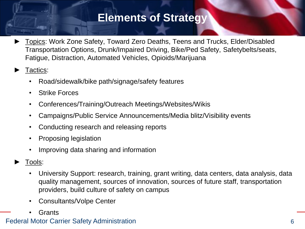### **Elements of Strategy**

Topics: Work Zone Safety, Toward Zero Deaths, Teens and Trucks, Elder/Disabled Transportation Options, Drunk/Impaired Driving, Bike/Ped Safety, Safetybelts/seats, Fatigue, Distraction, Automated Vehicles, Opioids/Marijuana

#### Tactics:

- Road/sidewalk/bike path/signage/safety features
- Strike Forces
- Conferences/Training/Outreach Meetings/Websites/Wikis
- Campaigns/Public Service Announcements/Media blitz/Visibility events
- Conducting research and releasing reports
- Proposing legislation
- Improving data sharing and information
- Tools:
	- University Support: research, training, grant writing, data centers, data analysis, data quality management, sources of innovation, sources of future staff, transportation providers, build culture of safety on campus
	- Consultants/Volpe Center
	- **Grants**

#### Federal Motor Carrier Safety Administration 6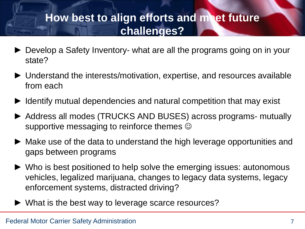# **How best to align efforts and meet future challenges?**

- ► Develop a Safety Inventory- what are all the programs going on in your state?
- ► Understand the interests/motivation, expertise, and resources available from each
- Identify mutual dependencies and natural competition that may exist
- ► Address all modes (TRUCKS AND BUSES) across programs- mutually supportive messaging to reinforce themes  $\odot$
- ► Make use of the data to understand the high leverage opportunities and gaps between programs
- ► Who is best positioned to help solve the emerging issues: autonomous vehicles, legalized marijuana, changes to legacy data systems, legacy enforcement systems, distracted driving?
- ► What is the best way to leverage scarce resources?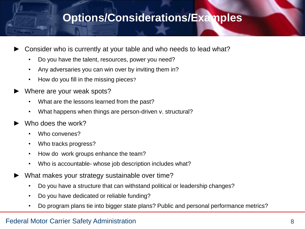### **Options/Considerations/Examples**

- Consider who is currently at your table and who needs to lead what?
	- Do you have the talent, resources, power you need?
	- Any adversaries you can win over by inviting them in?
	- How do you fill in the missing pieces?
- Where are your weak spots?
	- What are the lessons learned from the past?
	- What happens when things are person-driven v. structural?
- Who does the work?
	- Who convenes?
	- Who tracks progress?
	- How do work groups enhance the team?
	- Who is accountable- whose job description includes what?
- What makes your strategy sustainable over time?
	- Do you have a structure that can withstand political or leadership changes?
	- Do you have dedicated or reliable funding?
	- Do program plans tie into bigger state plans? Public and personal performance metrics?

#### Federal Motor Carrier Safety Administration 88 and 2012 12:30 and 2012 12:30 and 30 and 30 and 30 and 30 and 30 and 30 and 30 and 30 and 30 and 30 and 30 and 30 and 30 and 30 and 30 and 30 and 30 and 30 and 30 and 30 and 3